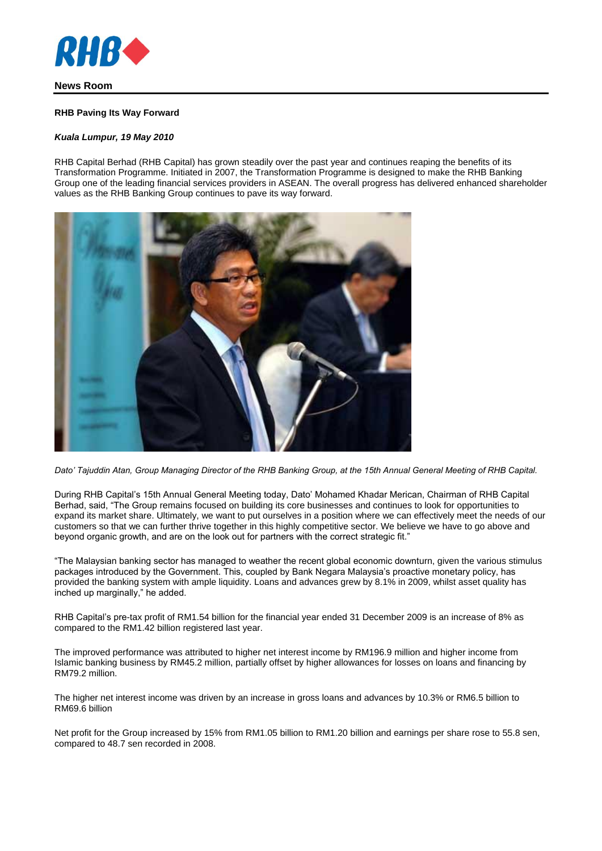

# **News Room**

### **RHB Paving Its Way Forward**

#### *Kuala Lumpur, 19 May 2010*

RHB Capital Berhad (RHB Capital) has grown steadily over the past year and continues reaping the benefits of its Transformation Programme. Initiated in 2007, the Transformation Programme is designed to make the RHB Banking Group one of the leading financial services providers in ASEAN. The overall progress has delivered enhanced shareholder values as the RHB Banking Group continues to pave its way forward.



*Dato' Tajuddin Atan, Group Managing Director of the RHB Banking Group, at the 15th Annual General Meeting of RHB Capital.*

During RHB Capital's 15th Annual General Meeting today, Dato' Mohamed Khadar Merican, Chairman of RHB Capital Berhad, said, "The Group remains focused on building its core businesses and continues to look for opportunities to expand its market share. Ultimately, we want to put ourselves in a position where we can effectively meet the needs of our customers so that we can further thrive together in this highly competitive sector. We believe we have to go above and beyond organic growth, and are on the look out for partners with the correct strategic fit."

"The Malaysian banking sector has managed to weather the recent global economic downturn, given the various stimulus packages introduced by the Government. This, coupled by Bank Negara Malaysia's proactive monetary policy, has provided the banking system with ample liquidity. Loans and advances grew by 8.1% in 2009, whilst asset quality has inched up marginally," he added.

RHB Capital's pre-tax profit of RM1.54 billion for the financial year ended 31 December 2009 is an increase of 8% as compared to the RM1.42 billion registered last year.

The improved performance was attributed to higher net interest income by RM196.9 million and higher income from Islamic banking business by RM45.2 million, partially offset by higher allowances for losses on loans and financing by RM79.2 million.

The higher net interest income was driven by an increase in gross loans and advances by 10.3% or RM6.5 billion to RM69.6 billion

Net profit for the Group increased by 15% from RM1.05 billion to RM1.20 billion and earnings per share rose to 55.8 sen, compared to 48.7 sen recorded in 2008.